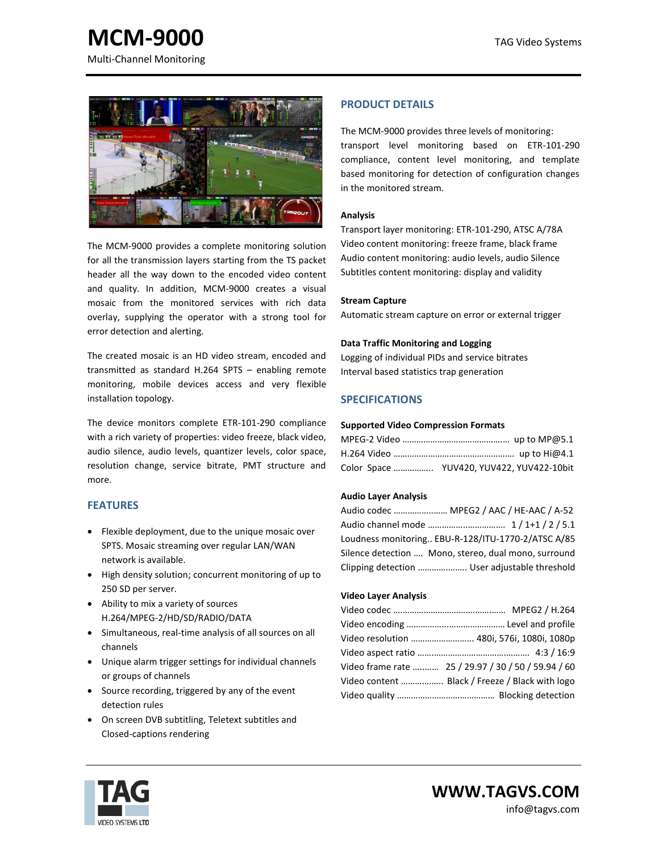**MCM-9000** TAG Video Systems Multi-Channel Monitoring



The MCM-9000 provides a complete monitoring solution for all the transmission layers starting from the TS packet header all the way down to the encoded video content and quality. In addition, MCM-9000 creates a visual mosaic from the monitored services with rich data overlay, supplying the operator with a strong tool for error detection and alerting.

The created mosaic is an HD video stream, encoded and transmitted as standard H.264 SPTS – enabling remote monitoring, mobile devices access and very flexible installation topology.

The device monitors complete ETR-101-290 compliance with a rich variety of properties: video freeze, black video, audio silence, audio levels, quantizer levels, color space, resolution change, service bitrate, PMT structure and more.

# **FEATURES**

- Flexible deployment, due to the unique mosaic over SPTS. Mosaic streaming over regular LAN/WAN network is available.
- High density solution; concurrent monitoring of up to 250 SD per server.
- Ability to mix a variety of sources H.264/MPEG-2/HD/SD/RADIO/DATA
- Simultaneous, real-time analysis of all sources on all channels
- Unique alarm trigger settings for individual channels or groups of channels
- Source recording, triggered by any of the event detection rules
- On screen DVB subtitling, Teletext subtitles and Closed-captions rendering

# **PRODUCT DETAILS**

The MCM-9000 provides three levels of monitoring: transport level monitoring based on ETR-101-290 compliance, content level monitoring, and template based monitoring for detection of configuration changes in the monitored stream.

#### **Analysis**

Transport layer monitoring: ETR-101-290, ATSC A/78A Video content monitoring: freeze frame, black frame Audio content monitoring: audio levels, audio Silence Subtitles content monitoring: display and validity

## **Stream Capture**

Automatic stream capture on error or external trigger

## **Data Traffic Monitoring and Logging**

Logging of individual PIDs and service bitrates Interval based statistics trap generation

# **SPECIFICATIONS**

#### **Supported Video Compression Formats**

| Color Space  YUV420, YUV422, YUV422-10bit |  |
|-------------------------------------------|--|

#### **Audio Layer Analysis**

| Audio codec  MPEG2 / AAC / HE-AAC / A-52             |  |
|------------------------------------------------------|--|
|                                                      |  |
| Loudness monitoring EBU-R-128/ITU-1770-2/ATSC A/85   |  |
| Silence detection  Mono, stereo, dual mono, surround |  |
| Clipping detection  User adjustable threshold        |  |

#### **Video Layer Analysis**

| Video resolution  480i, 576i, 1080i, 1080p          |  |
|-----------------------------------------------------|--|
|                                                     |  |
| Video frame rate  25 / 29.97 / 30 / 50 / 59.94 / 60 |  |
| Video content  Black / Freeze / Black with logo     |  |
|                                                     |  |